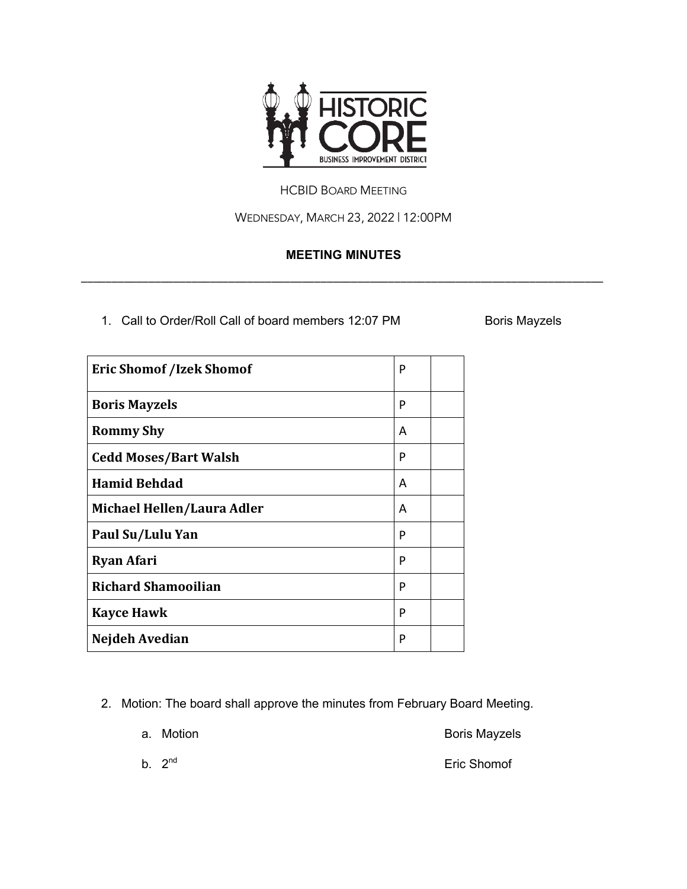

## HCBID BOARD MEETING

WEDNESDAY, MARCH 23, 2022 | 12:00PM

## **MEETING MINUTES**

\_\_\_\_\_\_\_\_\_\_\_\_\_\_\_\_\_\_\_\_\_\_\_\_\_\_\_\_\_\_\_\_\_\_\_\_\_\_\_\_\_\_\_\_\_\_\_\_\_\_\_\_\_\_\_\_\_\_\_\_\_\_\_\_\_\_\_\_\_\_\_\_\_\_\_\_\_\_\_\_\_\_\_\_\_

1. Call to Order/Roll Call of board members 12:07 PM Boris Mayzels

| <b>Eric Shomof /Izek Shomof</b> | P |  |
|---------------------------------|---|--|
| <b>Boris Mayzels</b>            | P |  |
| <b>Rommy Shy</b>                | A |  |
| <b>Cedd Moses/Bart Walsh</b>    | P |  |
| <b>Hamid Behdad</b>             | A |  |
| Michael Hellen/Laura Adler      | A |  |
| Paul Su/Lulu Yan                | P |  |
| <b>Ryan Afari</b>               | P |  |
| <b>Richard Shamooilian</b>      | P |  |
| <b>Kayce Hawk</b>               | P |  |
| Nejdeh Avedian                  | P |  |

2. Motion: The board shall approve the minutes from February Board Meeting.

|  | a. Motion | <b>Boris Mayzels</b> |
|--|-----------|----------------------|
|--|-----------|----------------------|

b.  $2^{nd}$  Eric Shomof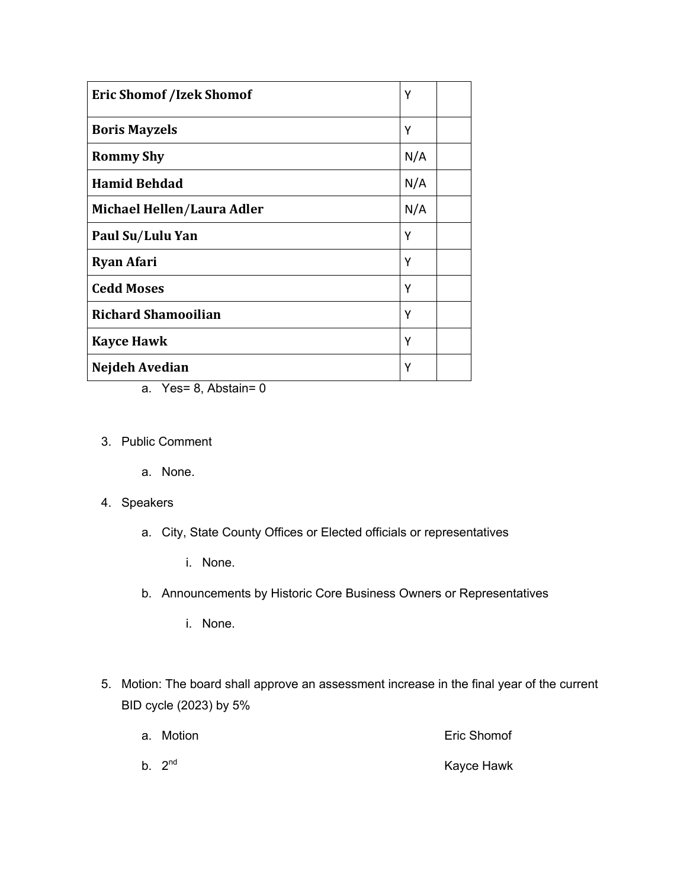| <b>Eric Shomof /Izek Shomof</b> | Υ   |  |
|---------------------------------|-----|--|
| <b>Boris Mayzels</b>            | Υ   |  |
| <b>Rommy Shy</b>                | N/A |  |
| <b>Hamid Behdad</b>             | N/A |  |
| Michael Hellen/Laura Adler      | N/A |  |
| Paul Su/Lulu Yan                | Υ   |  |
| <b>Ryan Afari</b>               | Υ   |  |
| <b>Cedd Moses</b>               | Υ   |  |
| <b>Richard Shamooilian</b><br>Υ |     |  |
| <b>Kayce Hawk</b>               | Υ   |  |
| Nejdeh Avedian                  | Υ   |  |

- a. Yes= 8, Abstain= 0
- 3. Public Comment

a. None.

- 4. Speakers
	- a. City, State County Offices or Elected officials or representatives
		- i. None.
	- b. Announcements by Historic Core Business Owners or Representatives
		- i. None.
- 5. Motion: The board shall approve an assessment increase in the final year of the current BID cycle (2023) by 5%
	- a. Motion Eric Shomof
	- b.  $2<sup>nd</sup>$  Kayce Hawk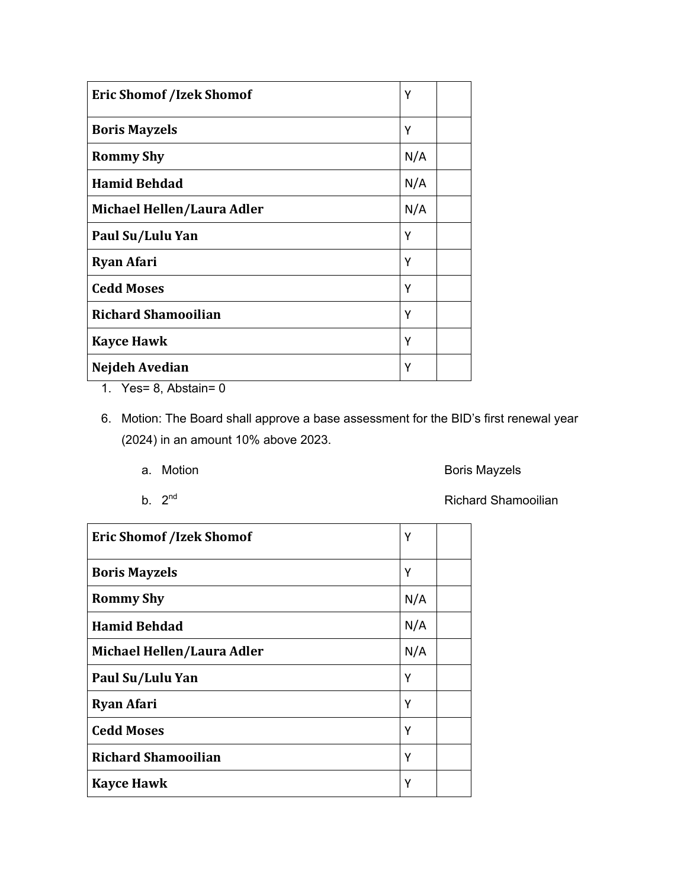| <b>Eric Shomof /Izek Shomof</b> |     |  |
|---------------------------------|-----|--|
| <b>Boris Mayzels</b>            | Υ   |  |
| <b>Rommy Shy</b>                | N/A |  |
| <b>Hamid Behdad</b>             | N/A |  |
| Michael Hellen/Laura Adler      | N/A |  |
| Paul Su/Lulu Yan                | Υ   |  |
| <b>Ryan Afari</b>               | Υ   |  |
| <b>Cedd Moses</b>               | Υ   |  |
| <b>Richard Shamooilian</b><br>Υ |     |  |
| <b>Kayce Hawk</b>               | Υ   |  |
| Nejdeh Avedian                  | Υ   |  |

1. Yes= 8, Abstain= 0

6. Motion: The Board shall approve a base assessment for the BID's first renewal year (2024) in an amount 10% above 2023.

a. Motion **Boris Mayzels** 

b. 2<sup>nd</sup> Richard Shamooilian

| <b>Eric Shomof /Izek Shomof</b> | Υ   |  |  |
|---------------------------------|-----|--|--|
| <b>Boris Mayzels</b>            | Υ   |  |  |
| <b>Rommy Shy</b>                | N/A |  |  |
| <b>Hamid Behdad</b>             | N/A |  |  |
| Michael Hellen/Laura Adler      | N/A |  |  |
| Paul Su/Lulu Yan                | Υ   |  |  |
| <b>Ryan Afari</b>               | Υ   |  |  |
| <b>Cedd Moses</b><br>Υ          |     |  |  |
| <b>Richard Shamooilian</b><br>Υ |     |  |  |
| <b>Kayce Hawk</b>               | Υ   |  |  |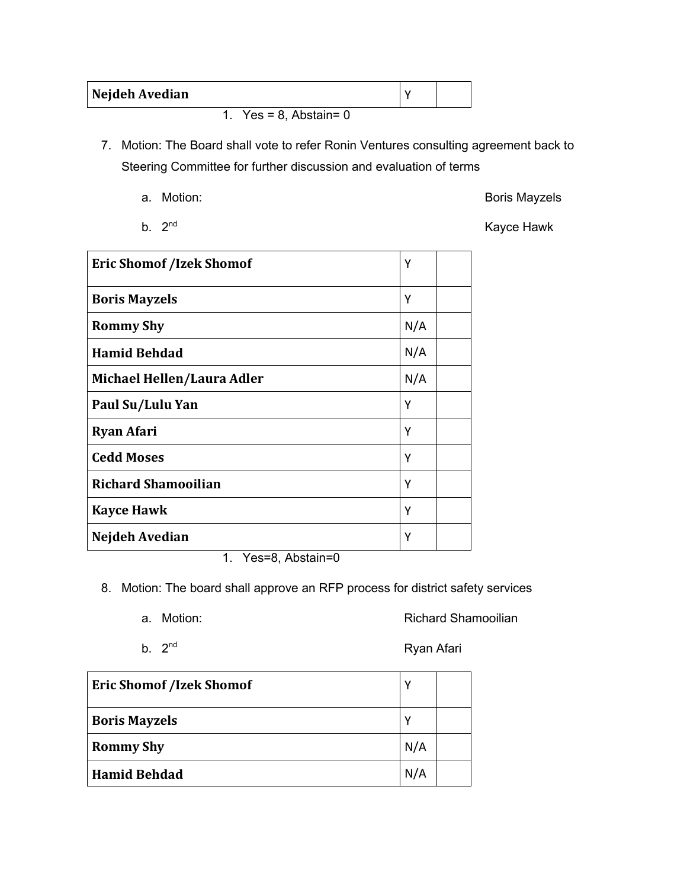| Nejdeh Avedian |                             |  |
|----------------|-----------------------------|--|
|                | 1. Yes = $8$ , Abstain= $0$ |  |

7. Motion: The Board shall vote to refer Ronin Ventures consulting agreement back to Steering Committee for further discussion and evaluation of terms

a. Motion: San Antion: San Antiocomputer and the Boris Mayzels

b.  $2^{nd}$  Kayce Hawk

| <b>Eric Shomof /Izek Shomof</b>                         | Υ   |
|---------------------------------------------------------|-----|
| <b>Boris Mayzels</b>                                    | Υ   |
| <b>Rommy Shy</b>                                        | N/A |
| <b>Hamid Behdad</b>                                     | N/A |
| Michael Hellen/Laura Adler                              | N/A |
| Paul Su/Lulu Yan                                        | Υ   |
| <b>Ryan Afari</b>                                       | Υ   |
| <b>Cedd Moses</b>                                       | Υ   |
| <b>Richard Shamooilian</b>                              | Υ   |
| <b>Kayce Hawk</b><br>Υ                                  |     |
| Nejdeh Avedian<br>$\sim$ $\sim$ $\sim$<br>$\sim$ $\sim$ | Υ   |

1. Yes=8, Abstain=0

8. Motion: The board shall approve an RFP process for district safety services

a. Motion: The Contract of the Richard Shamooilian

b. 2<sup>nd</sup> Ryan Afari

| <b>Eric Shomof /Izek Shomof</b> |     |  |
|---------------------------------|-----|--|
| <b>Boris Mayzels</b>            |     |  |
| <b>Rommy Shy</b>                | N/A |  |
| <b>Hamid Behdad</b>             | N/A |  |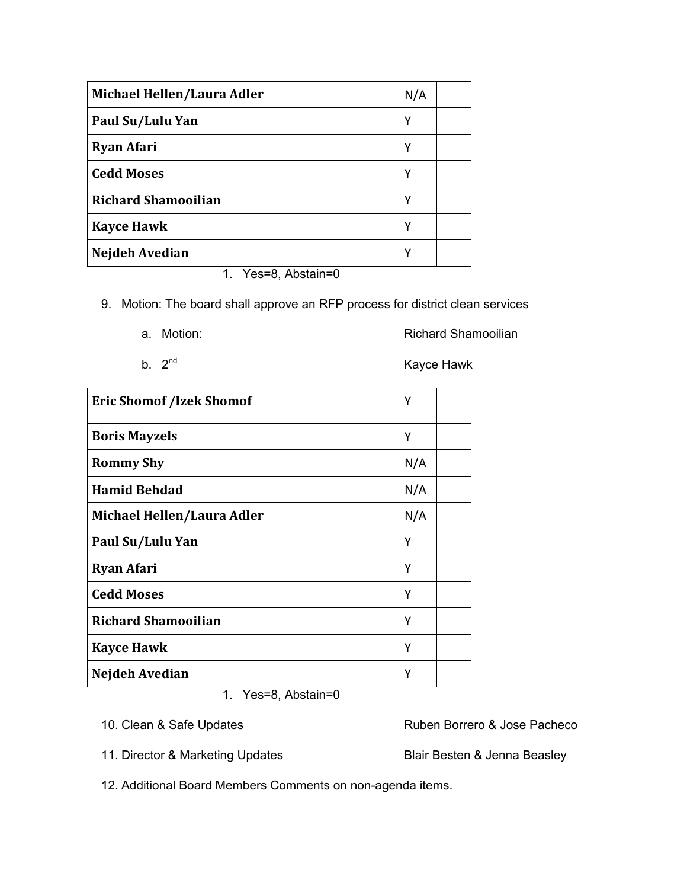| Michael Hellen/Laura Adler | N/A |
|----------------------------|-----|
| Paul Su/Lulu Yan           | Υ   |
| <b>Ryan Afari</b>          | γ   |
| <b>Cedd Moses</b>          | Υ   |
| <b>Richard Shamooilian</b> | Υ   |
| <b>Kayce Hawk</b>          | γ   |
| Nejdeh Avedian             | Υ   |
| 1. Yes=8, Abstain=0        |     |

9. Motion: The board shall approve an RFP process for district clean services

|  | a. Motion: | <b>Richard Shamooilian</b> |
|--|------------|----------------------------|
|--|------------|----------------------------|

b.  $2<sup>nd</sup>$  Kayce Hawk

| <b>Eric Shomof /Izek Shomof</b> |     |  |
|---------------------------------|-----|--|
| <b>Boris Mayzels</b>            | Υ   |  |
| <b>Rommy Shy</b>                | N/A |  |
| <b>Hamid Behdad</b>             | N/A |  |
| Michael Hellen/Laura Adler      | N/A |  |
| Paul Su/Lulu Yan                | Υ   |  |
| <b>Ryan Afari</b>               | Υ   |  |
| <b>Cedd Moses</b>               | Υ   |  |
| <b>Richard Shamooilian</b>      | Υ   |  |
| <b>Kayce Hawk</b>               | Υ   |  |
| Nejdeh Avedian                  | Υ   |  |

1. Yes=8, Abstain=0

11. Director & Marketing Updates **Blair Besten & Jenna Beasley** 

10. Clean & Safe Updates **Ruben Borrero & Jose Pacheco** 

12. Additional Board Members Comments on non-agenda items.